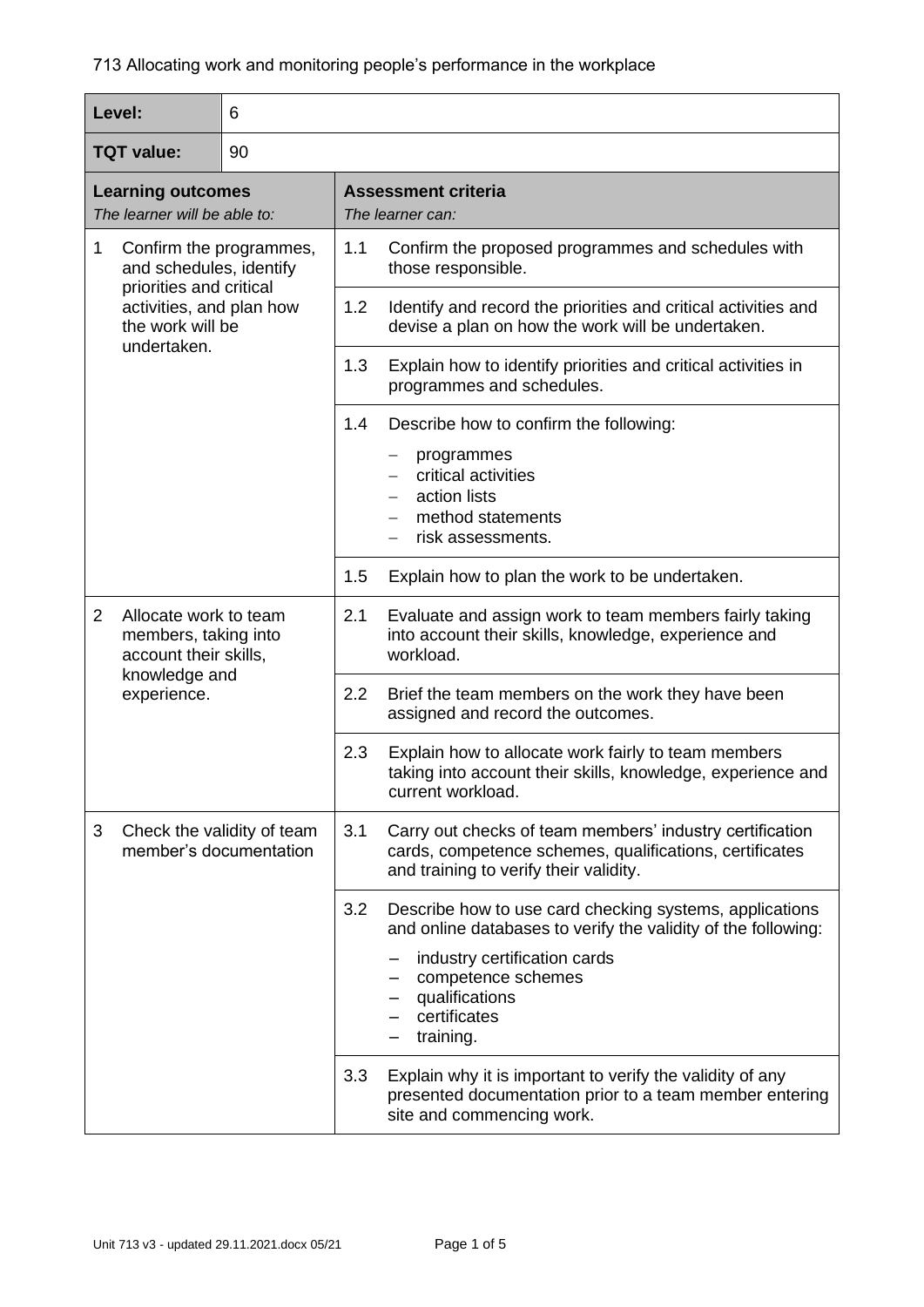| Level:                                                   |                                                                                                                                              | 6   |                                                                                                                                                               |                                                                                                                                         |  |  |
|----------------------------------------------------------|----------------------------------------------------------------------------------------------------------------------------------------------|-----|---------------------------------------------------------------------------------------------------------------------------------------------------------------|-----------------------------------------------------------------------------------------------------------------------------------------|--|--|
| <b>TQT value:</b>                                        |                                                                                                                                              | 90  |                                                                                                                                                               |                                                                                                                                         |  |  |
| <b>Learning outcomes</b><br>The learner will be able to: |                                                                                                                                              |     | <b>Assessment criteria</b><br>The learner can:                                                                                                                |                                                                                                                                         |  |  |
| 1                                                        | Confirm the programmes,<br>and schedules, identify<br>priorities and critical<br>activities, and plan how<br>the work will be<br>undertaken. |     | 1.1                                                                                                                                                           | Confirm the proposed programmes and schedules with<br>those responsible.                                                                |  |  |
|                                                          |                                                                                                                                              |     | 1.2                                                                                                                                                           | Identify and record the priorities and critical activities and<br>devise a plan on how the work will be undertaken.                     |  |  |
|                                                          |                                                                                                                                              |     | 1.3                                                                                                                                                           | Explain how to identify priorities and critical activities in<br>programmes and schedules.                                              |  |  |
|                                                          |                                                                                                                                              |     | 1.4                                                                                                                                                           | Describe how to confirm the following:                                                                                                  |  |  |
|                                                          |                                                                                                                                              |     |                                                                                                                                                               | programmes<br>critical activities                                                                                                       |  |  |
|                                                          |                                                                                                                                              |     |                                                                                                                                                               | action lists                                                                                                                            |  |  |
|                                                          |                                                                                                                                              |     |                                                                                                                                                               | method statements<br>risk assessments.                                                                                                  |  |  |
|                                                          |                                                                                                                                              | 1.5 | Explain how to plan the work to be undertaken.                                                                                                                |                                                                                                                                         |  |  |
| $\overline{2}$                                           | Allocate work to team<br>members, taking into<br>account their skills,                                                                       |     | 2.1                                                                                                                                                           | Evaluate and assign work to team members fairly taking<br>into account their skills, knowledge, experience and<br>workload.             |  |  |
|                                                          | knowledge and<br>experience.                                                                                                                 |     | 2.2                                                                                                                                                           | Brief the team members on the work they have been<br>assigned and record the outcomes.                                                  |  |  |
|                                                          |                                                                                                                                              |     | 2.3                                                                                                                                                           | Explain how to allocate work fairly to team members<br>taking into account their skills, knowledge, experience and<br>current workload. |  |  |
| 3                                                        | Check the validity of team<br>member's documentation                                                                                         | 3.1 | Carry out checks of team members' industry certification<br>cards, competence schemes, qualifications, certificates<br>and training to verify their validity. |                                                                                                                                         |  |  |
|                                                          |                                                                                                                                              |     | 3.2                                                                                                                                                           | Describe how to use card checking systems, applications<br>and online databases to verify the validity of the following:                |  |  |
|                                                          |                                                                                                                                              |     |                                                                                                                                                               | industry certification cards<br>competence schemes<br>qualifications<br>certificates<br>training.                                       |  |  |
|                                                          |                                                                                                                                              | 3.3 | Explain why it is important to verify the validity of any<br>presented documentation prior to a team member entering<br>site and commencing work.             |                                                                                                                                         |  |  |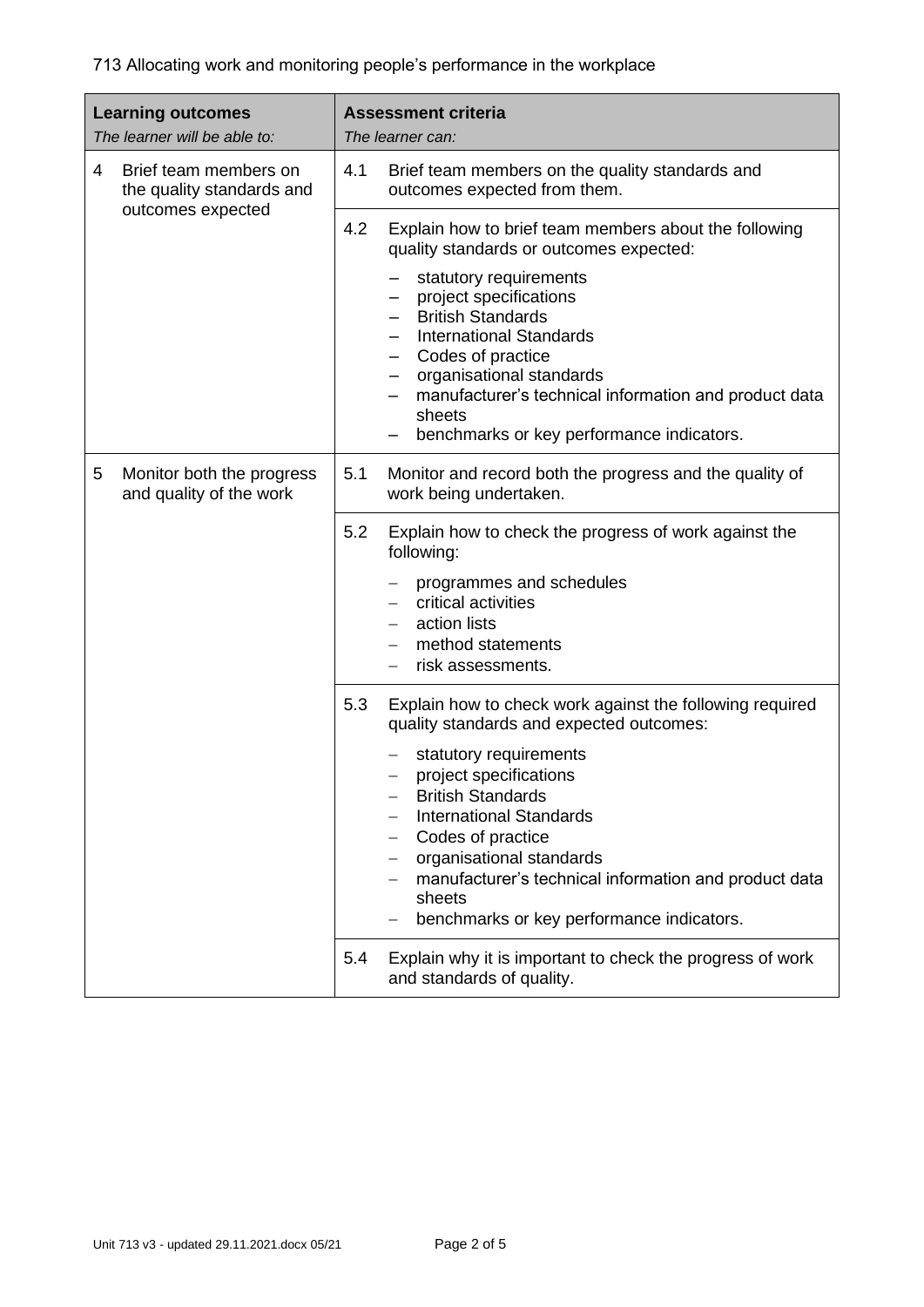| <b>Learning outcomes</b><br>The learner will be able to:  | <b>Assessment criteria</b><br>The learner can:                                                                                                                                                                                                                                  |  |
|-----------------------------------------------------------|---------------------------------------------------------------------------------------------------------------------------------------------------------------------------------------------------------------------------------------------------------------------------------|--|
| Brief team members on<br>4<br>the quality standards and   | 4.1<br>Brief team members on the quality standards and<br>outcomes expected from them.                                                                                                                                                                                          |  |
| outcomes expected                                         | 4.2<br>Explain how to brief team members about the following<br>quality standards or outcomes expected:                                                                                                                                                                         |  |
|                                                           | statutory requirements<br>project specifications<br><b>British Standards</b><br><b>International Standards</b><br>Codes of practice<br>organisational standards<br>manufacturer's technical information and product data<br>sheets<br>benchmarks or key performance indicators. |  |
| 5<br>Monitor both the progress<br>and quality of the work | 5.1<br>Monitor and record both the progress and the quality of<br>work being undertaken.                                                                                                                                                                                        |  |
|                                                           | 5.2<br>Explain how to check the progress of work against the<br>following:                                                                                                                                                                                                      |  |
|                                                           | programmes and schedules<br>critical activities                                                                                                                                                                                                                                 |  |
|                                                           | action lists<br>method statements<br>risk assessments.                                                                                                                                                                                                                          |  |
|                                                           | 5.3<br>Explain how to check work against the following required<br>quality standards and expected outcomes:                                                                                                                                                                     |  |
|                                                           | statutory requirements<br>project specifications<br><b>British Standards</b><br><b>International Standards</b><br>Codes of practice<br>organisational standards<br>manufacturer's technical information and product data<br>sheets<br>benchmarks or key performance indicators. |  |
|                                                           | 5.4<br>Explain why it is important to check the progress of work<br>and standards of quality.                                                                                                                                                                                   |  |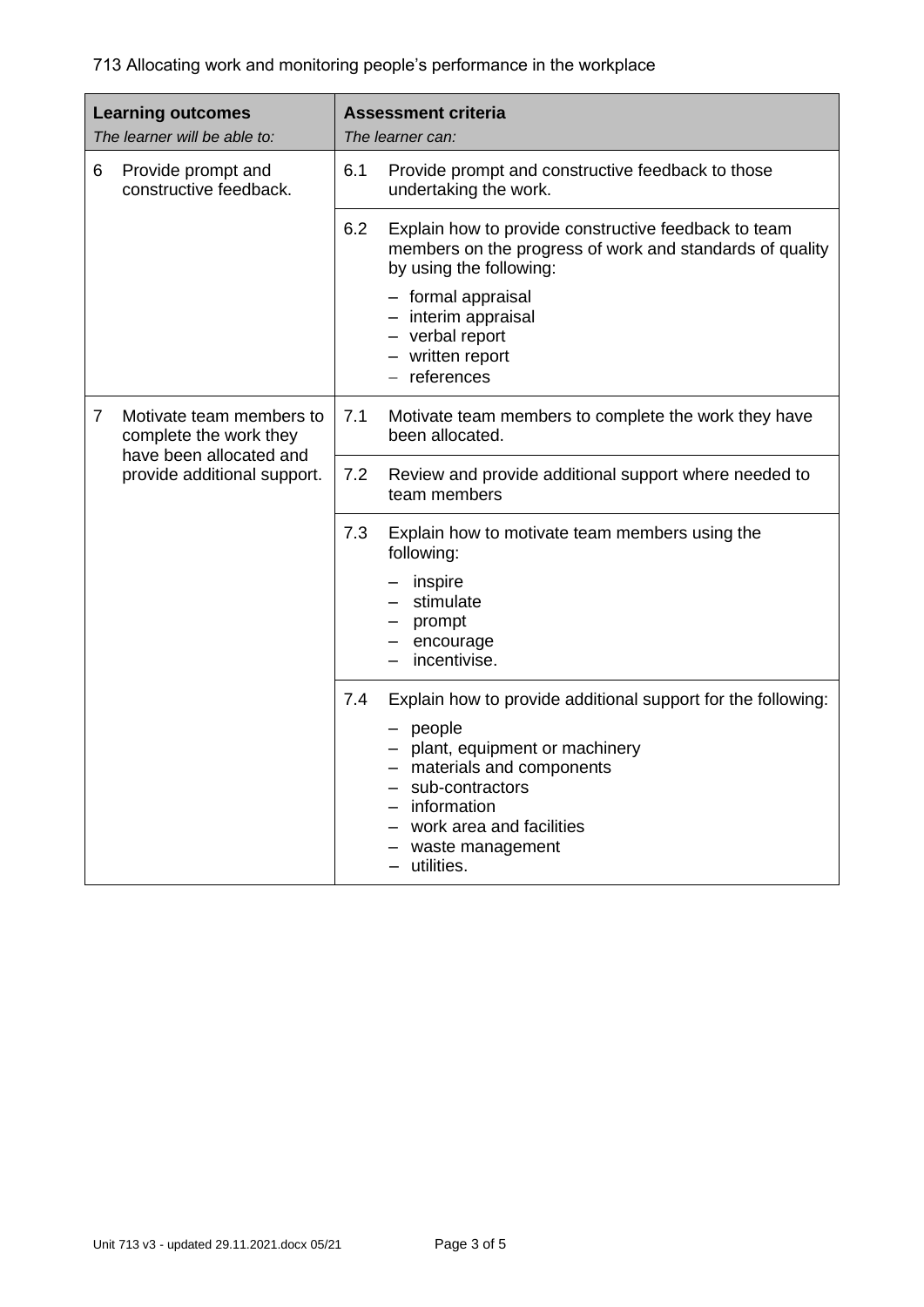| <b>Learning outcomes</b><br>The learner will be able to: |                                                                                                              | <b>Assessment criteria</b><br>The learner can: |                                                                                                                                                                                 |
|----------------------------------------------------------|--------------------------------------------------------------------------------------------------------------|------------------------------------------------|---------------------------------------------------------------------------------------------------------------------------------------------------------------------------------|
| 6                                                        | Provide prompt and<br>constructive feedback.                                                                 | 6.1                                            | Provide prompt and constructive feedback to those<br>undertaking the work.                                                                                                      |
|                                                          |                                                                                                              | 6.2                                            | Explain how to provide constructive feedback to team<br>members on the progress of work and standards of quality<br>by using the following:                                     |
|                                                          |                                                                                                              |                                                | - formal appraisal<br>- interim appraisal<br>- verbal report<br>- written report<br>$-$ references                                                                              |
| 7                                                        | Motivate team members to<br>complete the work they<br>have been allocated and<br>provide additional support. | 7.1                                            | Motivate team members to complete the work they have<br>been allocated.                                                                                                         |
|                                                          |                                                                                                              | 7.2                                            | Review and provide additional support where needed to<br>team members                                                                                                           |
|                                                          |                                                                                                              | 7.3                                            | Explain how to motivate team members using the<br>following:                                                                                                                    |
|                                                          |                                                                                                              |                                                | inspire<br>stimulate                                                                                                                                                            |
|                                                          |                                                                                                              |                                                | prompt<br>encourage                                                                                                                                                             |
|                                                          |                                                                                                              |                                                | incentivise.                                                                                                                                                                    |
|                                                          |                                                                                                              | 7.4                                            | Explain how to provide additional support for the following:                                                                                                                    |
|                                                          |                                                                                                              |                                                | people<br>- plant, equipment or machinery<br>- materials and components<br>- sub-contractors<br>- information<br>- work area and facilities<br>waste management<br>- utilities. |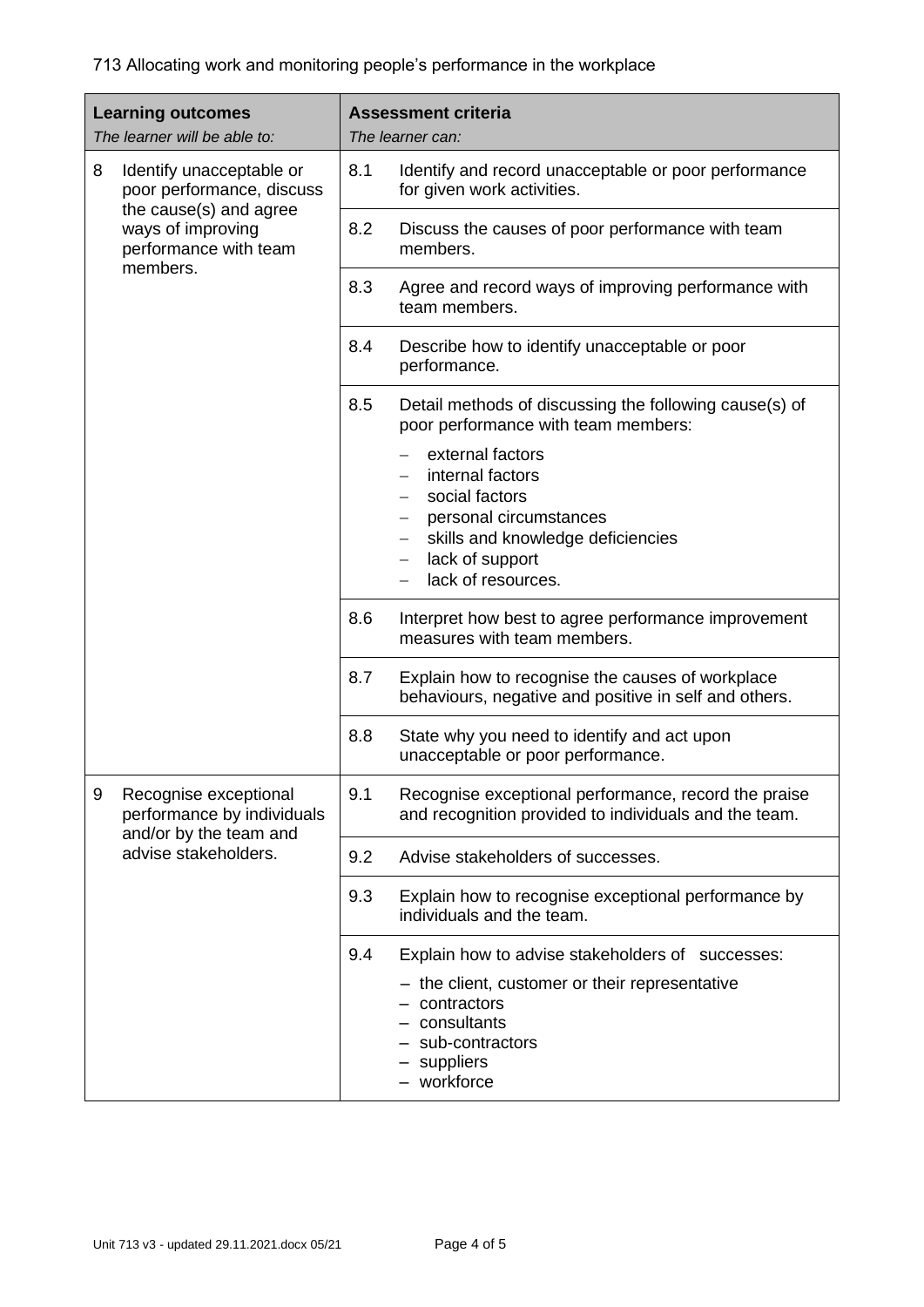| <b>Learning outcomes</b><br>The learner will be able to: |                                                                                                                                           | <b>Assessment criteria</b><br>The learner can: |                                                                                                                                                                                                   |
|----------------------------------------------------------|-------------------------------------------------------------------------------------------------------------------------------------------|------------------------------------------------|---------------------------------------------------------------------------------------------------------------------------------------------------------------------------------------------------|
| 8                                                        | Identify unacceptable or<br>poor performance, discuss<br>the cause(s) and agree<br>ways of improving<br>performance with team<br>members. | 8.1                                            | Identify and record unacceptable or poor performance<br>for given work activities.                                                                                                                |
|                                                          |                                                                                                                                           | 8.2                                            | Discuss the causes of poor performance with team<br>members.                                                                                                                                      |
|                                                          |                                                                                                                                           | 8.3                                            | Agree and record ways of improving performance with<br>team members.                                                                                                                              |
|                                                          |                                                                                                                                           | 8.4                                            | Describe how to identify unacceptable or poor<br>performance.                                                                                                                                     |
|                                                          |                                                                                                                                           | 8.5                                            | Detail methods of discussing the following cause(s) of<br>poor performance with team members:                                                                                                     |
|                                                          |                                                                                                                                           |                                                | external factors<br>internal factors<br>social factors<br>$-$<br>personal circumstances<br>skills and knowledge deficiencies<br>$-$<br>lack of support<br>$\qquad \qquad -$<br>lack of resources. |
|                                                          |                                                                                                                                           | 8.6                                            | Interpret how best to agree performance improvement<br>measures with team members.                                                                                                                |
|                                                          |                                                                                                                                           | 8.7                                            | Explain how to recognise the causes of workplace<br>behaviours, negative and positive in self and others.                                                                                         |
|                                                          |                                                                                                                                           | 8.8                                            | State why you need to identify and act upon<br>unacceptable or poor performance.                                                                                                                  |
| 9                                                        | Recognise exceptional<br>performance by individuals<br>and/or by the team and<br>advise stakeholders.                                     | 9.1                                            | Recognise exceptional performance, record the praise<br>and recognition provided to individuals and the team.                                                                                     |
|                                                          |                                                                                                                                           | 9.2                                            | Advise stakeholders of successes.                                                                                                                                                                 |
|                                                          |                                                                                                                                           | 9.3                                            | Explain how to recognise exceptional performance by<br>individuals and the team.                                                                                                                  |
|                                                          |                                                                                                                                           | 9.4                                            | Explain how to advise stakeholders of successes:                                                                                                                                                  |
|                                                          |                                                                                                                                           |                                                | - the client, customer or their representative<br>- contractors<br>- consultants<br>sub-contractors<br>- suppliers<br>- workforce                                                                 |